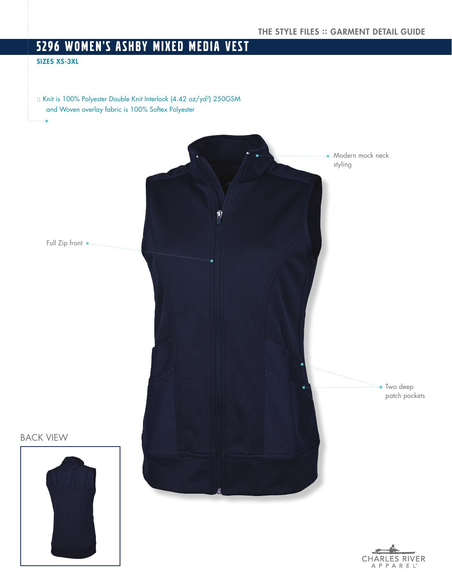# 5296 WOMEN'S ASHBY MIXED MEDIA VEST

## SIZES XS-3XL

:: Knit is 100% Polyester Double Knit Interlock (4.42 oz/yd<sup>2</sup>) 250GSM and Woven overlay fabric is 100% Softex Polyester